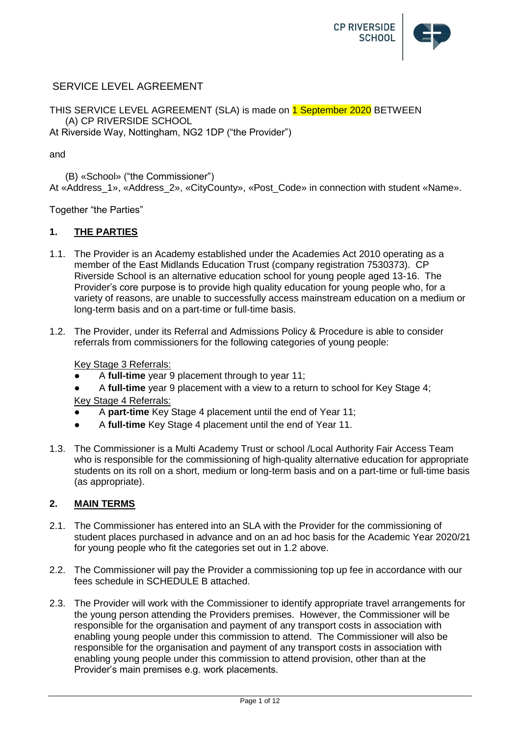

# SERVICE LEVEL AGREEMENT

THIS SERVICE LEVEL AGREEMENT (SLA) is made on 1 September 2020 BETWEEN (A) CP RIVERSIDE SCHOOL At Riverside Way, Nottingham, NG2 1DP ("the Provider")

and

(B) «School» ("the Commissioner") At «Address 1», «Address 2», «CityCounty», «Post Code» in connection with student «Name».

Together "the Parties"

## **1. THE PARTIES**

- 1.1. The Provider is an Academy established under the Academies Act 2010 operating as a member of the East Midlands Education Trust (company registration 7530373). CP Riverside School is an alternative education school for young people aged 13-16. The Provider's core purpose is to provide high quality education for young people who, for a variety of reasons, are unable to successfully access mainstream education on a medium or long-term basis and on a part-time or full-time basis.
- 1.2. The Provider, under its Referral and Admissions Policy & Procedure is able to consider referrals from commissioners for the following categories of young people:

Key Stage 3 Referrals:

- A **full-time** year 9 placement through to year 11;
- A **full-time** year 9 placement with a view to a return to school for Key Stage 4; Key Stage 4 Referrals:
- A **part-time** Key Stage 4 placement until the end of Year 11;
- A **full-time** Key Stage 4 placement until the end of Year 11.
- 1.3. The Commissioner is a Multi Academy Trust or school /Local Authority Fair Access Team who is responsible for the commissioning of high-quality alternative education for appropriate students on its roll on a short, medium or long-term basis and on a part-time or full-time basis (as appropriate).

#### **2. MAIN TERMS**

- 2.1. The Commissioner has entered into an SLA with the Provider for the commissioning of student places purchased in advance and on an ad hoc basis for the Academic Year 2020/21 for young people who fit the categories set out in 1.2 above.
- 2.2. The Commissioner will pay the Provider a commissioning top up fee in accordance with our fees schedule in SCHEDULE B attached.
- 2.3. The Provider will work with the Commissioner to identify appropriate travel arrangements for the young person attending the Providers premises. However, the Commissioner will be responsible for the organisation and payment of any transport costs in association with enabling young people under this commission to attend. The Commissioner will also be responsible for the organisation and payment of any transport costs in association with enabling young people under this commission to attend provision, other than at the Provider's main premises e.g. work placements.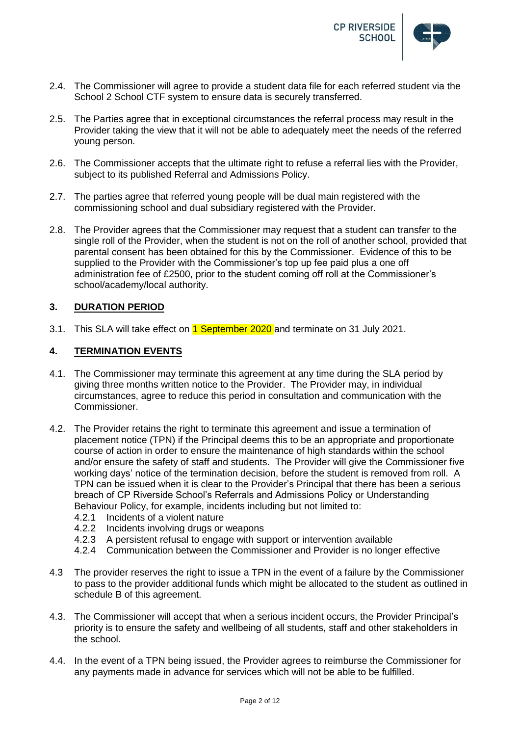

- 2.4. The Commissioner will agree to provide a student data file for each referred student via the School 2 School CTF system to ensure data is securely transferred.
- 2.5. The Parties agree that in exceptional circumstances the referral process may result in the Provider taking the view that it will not be able to adequately meet the needs of the referred young person.
- 2.6. The Commissioner accepts that the ultimate right to refuse a referral lies with the Provider, subject to its published Referral and Admissions Policy.
- 2.7. The parties agree that referred young people will be dual main registered with the commissioning school and dual subsidiary registered with the Provider.
- 2.8. The Provider agrees that the Commissioner may request that a student can transfer to the single roll of the Provider, when the student is not on the roll of another school, provided that parental consent has been obtained for this by the Commissioner. Evidence of this to be supplied to the Provider with the Commissioner's top up fee paid plus a one off administration fee of £2500, prior to the student coming off roll at the Commissioner's school/academy/local authority.

## **3. DURATION PERIOD**

3.1. This SLA will take effect on 1 September 2020 and terminate on 31 July 2021.

## **4. TERMINATION EVENTS**

- 4.1. The Commissioner may terminate this agreement at any time during the SLA period by giving three months written notice to the Provider. The Provider may, in individual circumstances, agree to reduce this period in consultation and communication with the Commissioner.
- 4.2. The Provider retains the right to terminate this agreement and issue a termination of placement notice (TPN) if the Principal deems this to be an appropriate and proportionate course of action in order to ensure the maintenance of high standards within the school and/or ensure the safety of staff and students. The Provider will give the Commissioner five working days' notice of the termination decision, before the student is removed from roll. A TPN can be issued when it is clear to the Provider's Principal that there has been a serious breach of CP Riverside School's Referrals and Admissions Policy or Understanding Behaviour Policy, for example, incidents including but not limited to:
	- 4.2.1 Incidents of a violent nature
	- 4.2.2 Incidents involving drugs or weapons
	- 4.2.3 A persistent refusal to engage with support or intervention available
	- 4.2.4 Communication between the Commissioner and Provider is no longer effective
- 4.3 The provider reserves the right to issue a TPN in the event of a failure by the Commissioner to pass to the provider additional funds which might be allocated to the student as outlined in schedule B of this agreement.
- 4.3. The Commissioner will accept that when a serious incident occurs, the Provider Principal's priority is to ensure the safety and wellbeing of all students, staff and other stakeholders in the school.
- 4.4. In the event of a TPN being issued, the Provider agrees to reimburse the Commissioner for any payments made in advance for services which will not be able to be fulfilled.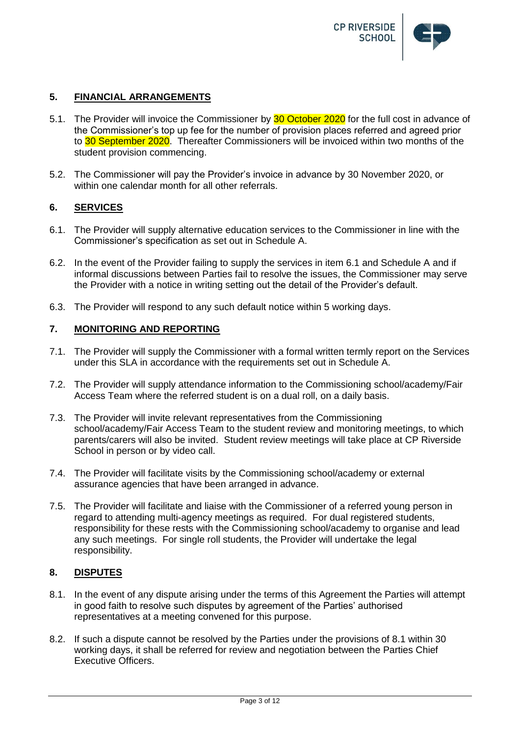

## **5. FINANCIAL ARRANGEMENTS**

- 5.1. The Provider will invoice the Commissioner by 30 October 2020 for the full cost in advance of the Commissioner's top up fee for the number of provision places referred and agreed prior to 30 September 2020. Thereafter Commissioners will be invoiced within two months of the student provision commencing.
- 5.2. The Commissioner will pay the Provider's invoice in advance by 30 November 2020, or within one calendar month for all other referrals.

## **6. SERVICES**

- 6.1. The Provider will supply alternative education services to the Commissioner in line with the Commissioner's specification as set out in Schedule A.
- 6.2. In the event of the Provider failing to supply the services in item 6.1 and Schedule A and if informal discussions between Parties fail to resolve the issues, the Commissioner may serve the Provider with a notice in writing setting out the detail of the Provider's default.
- 6.3. The Provider will respond to any such default notice within 5 working days.

## **7. MONITORING AND REPORTING**

- 7.1. The Provider will supply the Commissioner with a formal written termly report on the Services under this SLA in accordance with the requirements set out in Schedule A.
- 7.2. The Provider will supply attendance information to the Commissioning school/academy/Fair Access Team where the referred student is on a dual roll, on a daily basis.
- 7.3. The Provider will invite relevant representatives from the Commissioning school/academy/Fair Access Team to the student review and monitoring meetings, to which parents/carers will also be invited. Student review meetings will take place at CP Riverside School in person or by video call.
- 7.4. The Provider will facilitate visits by the Commissioning school/academy or external assurance agencies that have been arranged in advance.
- 7.5. The Provider will facilitate and liaise with the Commissioner of a referred young person in regard to attending multi-agency meetings as required. For dual registered students, responsibility for these rests with the Commissioning school/academy to organise and lead any such meetings. For single roll students, the Provider will undertake the legal responsibility.

## **8. DISPUTES**

- 8.1. In the event of any dispute arising under the terms of this Agreement the Parties will attempt in good faith to resolve such disputes by agreement of the Parties' authorised representatives at a meeting convened for this purpose.
- 8.2. If such a dispute cannot be resolved by the Parties under the provisions of 8.1 within 30 working days, it shall be referred for review and negotiation between the Parties Chief Executive Officers.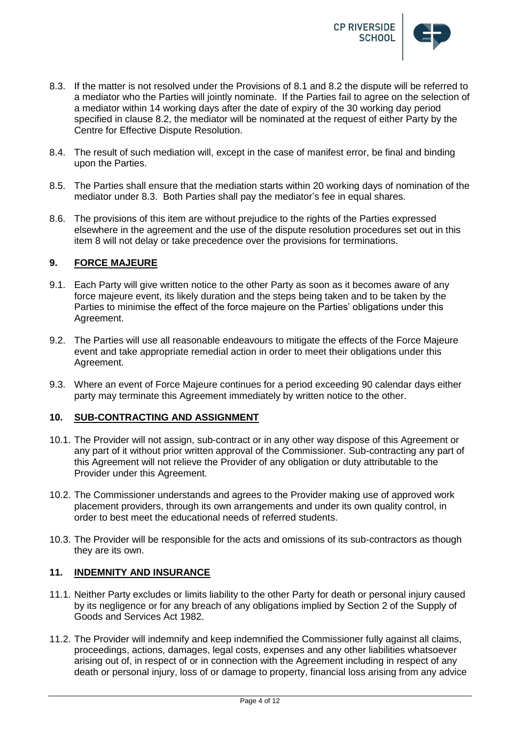

- 8.3. If the matter is not resolved under the Provisions of 8.1 and 8.2 the dispute will be referred to a mediator who the Parties will jointly nominate. If the Parties fail to agree on the selection of a mediator within 14 working days after the date of expiry of the 30 working day period specified in clause 8.2, the mediator will be nominated at the request of either Party by the Centre for Effective Dispute Resolution.
- 8.4. The result of such mediation will, except in the case of manifest error, be final and binding upon the Parties.
- 8.5. The Parties shall ensure that the mediation starts within 20 working days of nomination of the mediator under 8.3. Both Parties shall pay the mediator's fee in equal shares.
- 8.6. The provisions of this item are without prejudice to the rights of the Parties expressed elsewhere in the agreement and the use of the dispute resolution procedures set out in this item 8 will not delay or take precedence over the provisions for terminations.

## **9. FORCE MAJEURE**

- 9.1. Each Party will give written notice to the other Party as soon as it becomes aware of any force majeure event, its likely duration and the steps being taken and to be taken by the Parties to minimise the effect of the force majeure on the Parties' obligations under this Agreement.
- 9.2. The Parties will use all reasonable endeavours to mitigate the effects of the Force Majeure event and take appropriate remedial action in order to meet their obligations under this Agreement.
- 9.3. Where an event of Force Majeure continues for a period exceeding 90 calendar days either party may terminate this Agreement immediately by written notice to the other.

## **10. SUB-CONTRACTING AND ASSIGNMENT**

- 10.1. The Provider will not assign, sub-contract or in any other way dispose of this Agreement or any part of it without prior written approval of the Commissioner. Sub-contracting any part of this Agreement will not relieve the Provider of any obligation or duty attributable to the Provider under this Agreement.
- 10.2. The Commissioner understands and agrees to the Provider making use of approved work placement providers, through its own arrangements and under its own quality control, in order to best meet the educational needs of referred students.
- 10.3. The Provider will be responsible for the acts and omissions of its sub-contractors as though they are its own.

## **11. INDEMNITY AND INSURANCE**

- 11.1. Neither Party excludes or limits liability to the other Party for death or personal injury caused by its negligence or for any breach of any obligations implied by Section 2 of the Supply of Goods and Services Act 1982.
- 11.2. The Provider will indemnify and keep indemnified the Commissioner fully against all claims, proceedings, actions, damages, legal costs, expenses and any other liabilities whatsoever arising out of, in respect of or in connection with the Agreement including in respect of any death or personal injury, loss of or damage to property, financial loss arising from any advice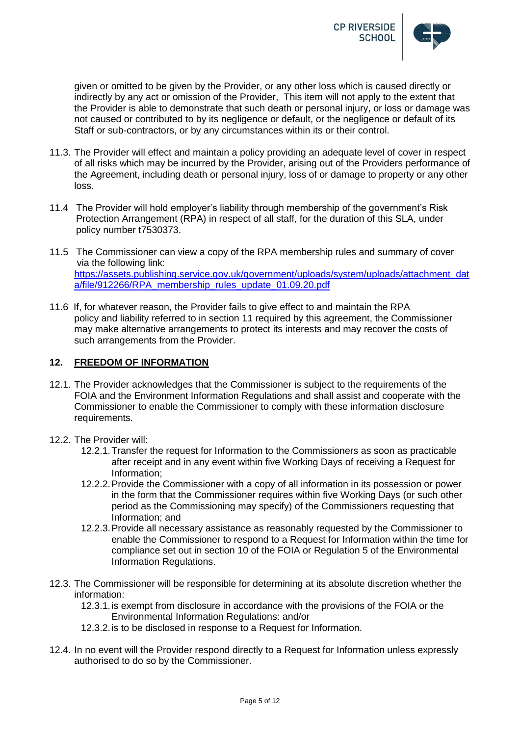

given or omitted to be given by the Provider, or any other loss which is caused directly or indirectly by any act or omission of the Provider, This item will not apply to the extent that the Provider is able to demonstrate that such death or personal injury, or loss or damage was not caused or contributed to by its negligence or default, or the negligence or default of its Staff or sub-contractors, or by any circumstances within its or their control.

- 11.3. The Provider will effect and maintain a policy providing an adequate level of cover in respect of all risks which may be incurred by the Provider, arising out of the Providers performance of the Agreement, including death or personal injury, loss of or damage to property or any other loss.
- 11.4 The Provider will hold employer's liability through membership of the government's Risk Protection Arrangement (RPA) in respect of all staff, for the duration of this SLA, under policy number t7530373.
- 11.5 The Commissioner can view a copy of the RPA membership rules and summary of cover via the following link: [https://assets.publishing.service.gov.uk/government/uploads/system/uploads/attachment\\_dat](https://assets.publishing.service.gov.uk/government/uploads/system/uploads/attachment_data/file/912266/RPA_membership_rules_update_01.09.20.pdf) [a/file/912266/RPA\\_membership\\_rules\\_update\\_01.09.20.pdf](https://assets.publishing.service.gov.uk/government/uploads/system/uploads/attachment_data/file/912266/RPA_membership_rules_update_01.09.20.pdf)
- 11.6 If, for whatever reason, the Provider fails to give effect to and maintain the RPA policy and liability referred to in section 11 required by this agreement, the Commissioner may make alternative arrangements to protect its interests and may recover the costs of such arrangements from the Provider.

### **12. FREEDOM OF INFORMATION**

- 12.1. The Provider acknowledges that the Commissioner is subject to the requirements of the FOIA and the Environment Information Regulations and shall assist and cooperate with the Commissioner to enable the Commissioner to comply with these information disclosure requirements.
- 12.2. The Provider will:
	- 12.2.1.Transfer the request for Information to the Commissioners as soon as practicable after receipt and in any event within five Working Days of receiving a Request for Information;
	- 12.2.2.Provide the Commissioner with a copy of all information in its possession or power in the form that the Commissioner requires within five Working Days (or such other period as the Commissioning may specify) of the Commissioners requesting that Information; and
	- 12.2.3.Provide all necessary assistance as reasonably requested by the Commissioner to enable the Commissioner to respond to a Request for Information within the time for compliance set out in section 10 of the FOIA or Regulation 5 of the Environmental Information Regulations.
- 12.3. The Commissioner will be responsible for determining at its absolute discretion whether the information:

12.3.1.is exempt from disclosure in accordance with the provisions of the FOIA or the Environmental Information Regulations: and/or

- 12.3.2.is to be disclosed in response to a Request for Information.
- 12.4. In no event will the Provider respond directly to a Request for Information unless expressly authorised to do so by the Commissioner.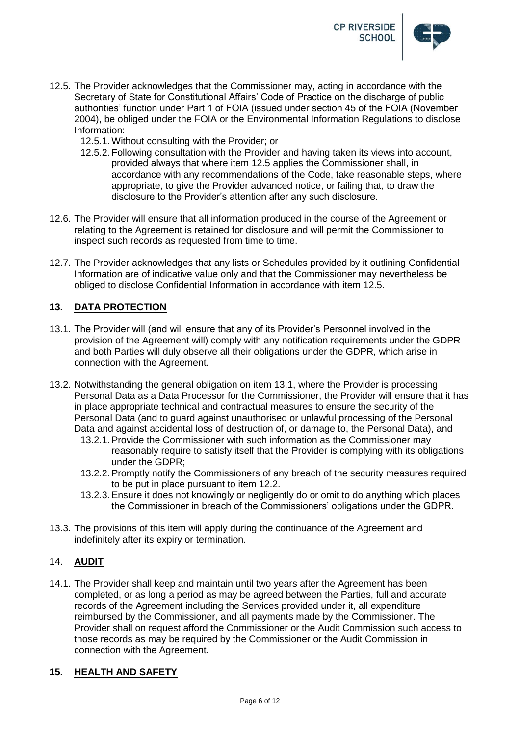

- 12.5. The Provider acknowledges that the Commissioner may, acting in accordance with the Secretary of State for Constitutional Affairs' Code of Practice on the discharge of public authorities' function under Part 1 of FOIA (issued under section 45 of the FOIA (November 2004), be obliged under the FOIA or the Environmental Information Regulations to disclose Information:
	- 12.5.1. Without consulting with the Provider; or
	- 12.5.2. Following consultation with the Provider and having taken its views into account, provided always that where item 12.5 applies the Commissioner shall, in accordance with any recommendations of the Code, take reasonable steps, where appropriate, to give the Provider advanced notice, or failing that, to draw the disclosure to the Provider's attention after any such disclosure.
- 12.6. The Provider will ensure that all information produced in the course of the Agreement or relating to the Agreement is retained for disclosure and will permit the Commissioner to inspect such records as requested from time to time.
- 12.7. The Provider acknowledges that any lists or Schedules provided by it outlining Confidential Information are of indicative value only and that the Commissioner may nevertheless be obliged to disclose Confidential Information in accordance with item 12.5.

## **13. DATA PROTECTION**

- 13.1. The Provider will (and will ensure that any of its Provider's Personnel involved in the provision of the Agreement will) comply with any notification requirements under the GDPR and both Parties will duly observe all their obligations under the GDPR, which arise in connection with the Agreement.
- 13.2. Notwithstanding the general obligation on item 13.1, where the Provider is processing Personal Data as a Data Processor for the Commissioner, the Provider will ensure that it has in place appropriate technical and contractual measures to ensure the security of the Personal Data (and to guard against unauthorised or unlawful processing of the Personal Data and against accidental loss of destruction of, or damage to, the Personal Data), and
	- 13.2.1. Provide the Commissioner with such information as the Commissioner may reasonably require to satisfy itself that the Provider is complying with its obligations under the GDPR;
	- 13.2.2. Promptly notify the Commissioners of any breach of the security measures required to be put in place pursuant to item 12.2.
	- 13.2.3. Ensure it does not knowingly or negligently do or omit to do anything which places the Commissioner in breach of the Commissioners' obligations under the GDPR.
- 13.3. The provisions of this item will apply during the continuance of the Agreement and indefinitely after its expiry or termination.

#### 14. **AUDIT**

14.1. The Provider shall keep and maintain until two years after the Agreement has been completed, or as long a period as may be agreed between the Parties, full and accurate records of the Agreement including the Services provided under it, all expenditure reimbursed by the Commissioner, and all payments made by the Commissioner. The Provider shall on request afford the Commissioner or the Audit Commission such access to those records as may be required by the Commissioner or the Audit Commission in connection with the Agreement.

### **15. HEALTH AND SAFETY**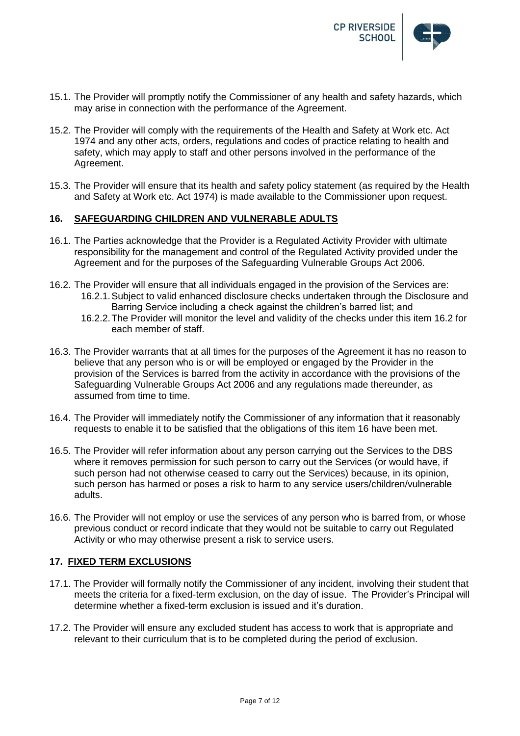

- 15.1. The Provider will promptly notify the Commissioner of any health and safety hazards, which may arise in connection with the performance of the Agreement.
- 15.2. The Provider will comply with the requirements of the Health and Safety at Work etc. Act 1974 and any other acts, orders, regulations and codes of practice relating to health and safety, which may apply to staff and other persons involved in the performance of the Agreement.
- 15.3. The Provider will ensure that its health and safety policy statement (as required by the Health and Safety at Work etc. Act 1974) is made available to the Commissioner upon request.

## **16. SAFEGUARDING CHILDREN AND VULNERABLE ADULTS**

- 16.1. The Parties acknowledge that the Provider is a Regulated Activity Provider with ultimate responsibility for the management and control of the Regulated Activity provided under the Agreement and for the purposes of the Safeguarding Vulnerable Groups Act 2006.
- 16.2. The Provider will ensure that all individuals engaged in the provision of the Services are: 16.2.1.Subject to valid enhanced disclosure checks undertaken through the Disclosure and Barring Service including a check against the children's barred list; and
	- 16.2.2.The Provider will monitor the level and validity of the checks under this item 16.2 for each member of staff.
- 16.3. The Provider warrants that at all times for the purposes of the Agreement it has no reason to believe that any person who is or will be employed or engaged by the Provider in the provision of the Services is barred from the activity in accordance with the provisions of the Safeguarding Vulnerable Groups Act 2006 and any regulations made thereunder, as assumed from time to time.
- 16.4. The Provider will immediately notify the Commissioner of any information that it reasonably requests to enable it to be satisfied that the obligations of this item 16 have been met.
- 16.5. The Provider will refer information about any person carrying out the Services to the DBS where it removes permission for such person to carry out the Services (or would have, if such person had not otherwise ceased to carry out the Services) because, in its opinion, such person has harmed or poses a risk to harm to any service users/children/vulnerable adults.
- 16.6. The Provider will not employ or use the services of any person who is barred from, or whose previous conduct or record indicate that they would not be suitable to carry out Regulated Activity or who may otherwise present a risk to service users.

#### **17. FIXED TERM EXCLUSIONS**

- 17.1. The Provider will formally notify the Commissioner of any incident, involving their student that meets the criteria for a fixed-term exclusion, on the day of issue. The Provider's Principal will determine whether a fixed-term exclusion is issued and it's duration.
- 17.2. The Provider will ensure any excluded student has access to work that is appropriate and relevant to their curriculum that is to be completed during the period of exclusion.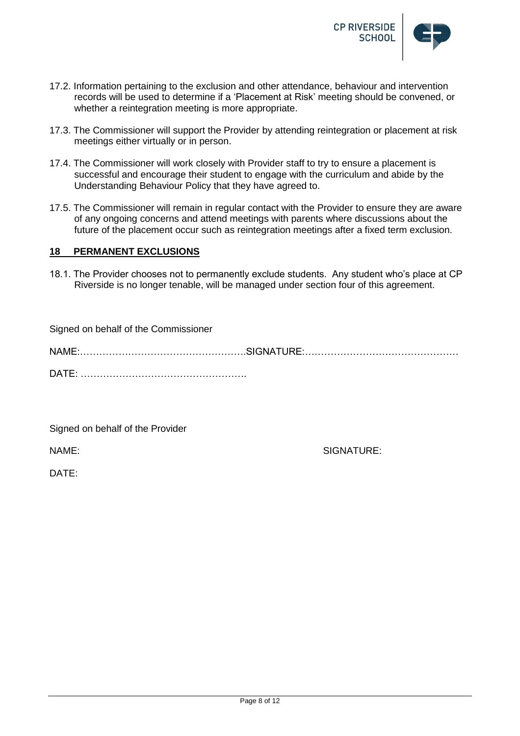

- 17.2. Information pertaining to the exclusion and other attendance, behaviour and intervention records will be used to determine if a 'Placement at Risk' meeting should be convened, or whether a reintegration meeting is more appropriate.
- 17.3. The Commissioner will support the Provider by attending reintegration or placement at risk meetings either virtually or in person.
- 17.4. The Commissioner will work closely with Provider staff to try to ensure a placement is successful and encourage their student to engage with the curriculum and abide by the Understanding Behaviour Policy that they have agreed to.
- 17.5. The Commissioner will remain in regular contact with the Provider to ensure they are aware of any ongoing concerns and attend meetings with parents where discussions about the future of the placement occur such as reintegration meetings after a fixed term exclusion.

#### **18 PERMANENT EXCLUSIONS**

18.1. The Provider chooses not to permanently exclude students. Any student who's place at CP Riverside is no longer tenable, will be managed under section four of this agreement.

| Signed on behalf of the Commissioner |  |
|--------------------------------------|--|
|                                      |  |
|                                      |  |

Signed on behalf of the Provider

NAME: SIGNATURE:

DATE: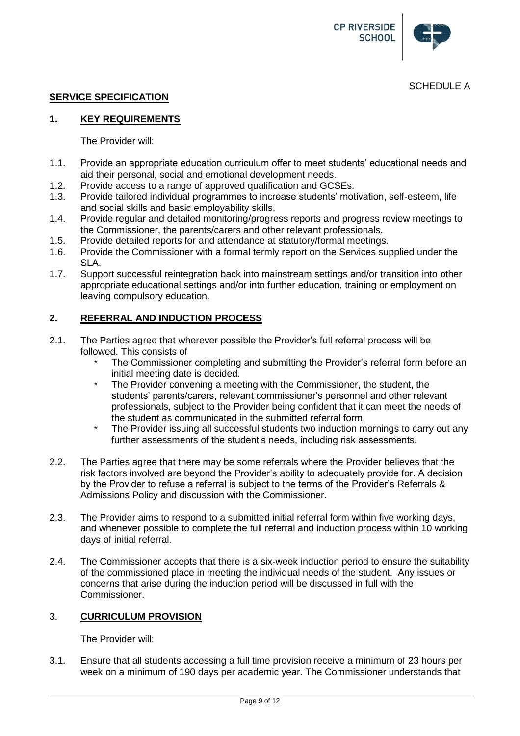

## **SERVICE SPECIFICATION**

## **1. KEY REQUIREMENTS**

The Provider will:

- 1.1. Provide an appropriate education curriculum offer to meet students' educational needs and aid their personal, social and emotional development needs.
- 1.2. Provide access to a range of approved qualification and GCSEs.
- 1.3. Provide tailored individual programmes to increase students' motivation, self-esteem, life and social skills and basic employability skills.
- 1.4. Provide regular and detailed monitoring/progress reports and progress review meetings to the Commissioner, the parents/carers and other relevant professionals.
- 1.5. Provide detailed reports for and attendance at statutory/formal meetings.<br>1.6. Provide the Commissioner with a formal termly report on the Services sure
- Provide the Commissioner with a formal termly report on the Services supplied under the SLA.
- 1.7. Support successful reintegration back into mainstream settings and/or transition into other appropriate educational settings and/or into further education, training or employment on leaving compulsory education.

## **2. REFERRAL AND INDUCTION PROCESS**

- 2.1. The Parties agree that wherever possible the Provider's full referral process will be followed. This consists of
	- The Commissioner completing and submitting the Provider's referral form before an initial meeting date is decided.
	- $*$  The Provider convening a meeting with the Commissioner, the student, the students' parents/carers, relevant commissioner's personnel and other relevant professionals, subject to the Provider being confident that it can meet the needs of the student as communicated in the submitted referral form.
	- $*$  The Provider issuing all successful students two induction mornings to carry out any further assessments of the student's needs, including risk assessments.
- 2.2. The Parties agree that there may be some referrals where the Provider believes that the risk factors involved are beyond the Provider's ability to adequately provide for. A decision by the Provider to refuse a referral is subject to the terms of the Provider's Referrals & Admissions Policy and discussion with the Commissioner.
- 2.3. The Provider aims to respond to a submitted initial referral form within five working days, and whenever possible to complete the full referral and induction process within 10 working days of initial referral.
- 2.4. The Commissioner accepts that there is a six-week induction period to ensure the suitability of the commissioned place in meeting the individual needs of the student. Any issues or concerns that arise during the induction period will be discussed in full with the Commissioner.

## 3. **CURRICULUM PROVISION**

The Provider will:

3.1. Ensure that all students accessing a full time provision receive a minimum of 23 hours per week on a minimum of 190 days per academic year. The Commissioner understands that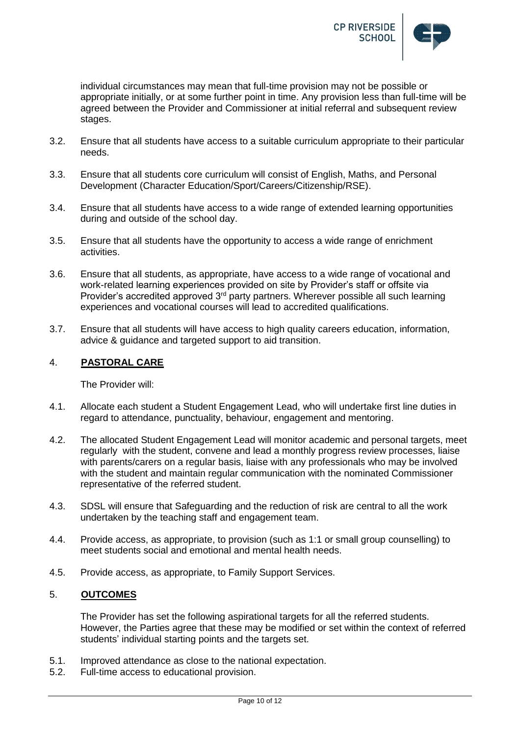

individual circumstances may mean that full-time provision may not be possible or appropriate initially, or at some further point in time. Any provision less than full-time will be agreed between the Provider and Commissioner at initial referral and subsequent review stages.

- 3.2. Ensure that all students have access to a suitable curriculum appropriate to their particular needs.
- 3.3. Ensure that all students core curriculum will consist of English, Maths, and Personal Development (Character Education/Sport/Careers/Citizenship/RSE).
- 3.4. Ensure that all students have access to a wide range of extended learning opportunities during and outside of the school day.
- 3.5. Ensure that all students have the opportunity to access a wide range of enrichment activities.
- 3.6. Ensure that all students, as appropriate, have access to a wide range of vocational and work-related learning experiences provided on site by Provider's staff or offsite via Provider's accredited approved 3<sup>rd</sup> party partners. Wherever possible all such learning experiences and vocational courses will lead to accredited qualifications.
- 3.7. Ensure that all students will have access to high quality careers education, information, advice & guidance and targeted support to aid transition.

## 4. **PASTORAL CARE**

The Provider will:

- 4.1. Allocate each student a Student Engagement Lead, who will undertake first line duties in regard to attendance, punctuality, behaviour, engagement and mentoring.
- 4.2. The allocated Student Engagement Lead will monitor academic and personal targets, meet regularly with the student, convene and lead a monthly progress review processes, liaise with parents/carers on a regular basis, liaise with any professionals who may be involved with the student and maintain regular communication with the nominated Commissioner representative of the referred student.
- 4.3. SDSL will ensure that Safeguarding and the reduction of risk are central to all the work undertaken by the teaching staff and engagement team.
- 4.4. Provide access, as appropriate, to provision (such as 1:1 or small group counselling) to meet students social and emotional and mental health needs.
- 4.5. Provide access, as appropriate, to Family Support Services.

## 5. **OUTCOMES**

The Provider has set the following aspirational targets for all the referred students. However, the Parties agree that these may be modified or set within the context of referred students' individual starting points and the targets set.

- 5.1. Improved attendance as close to the national expectation.
- 5.2. Full-time access to educational provision.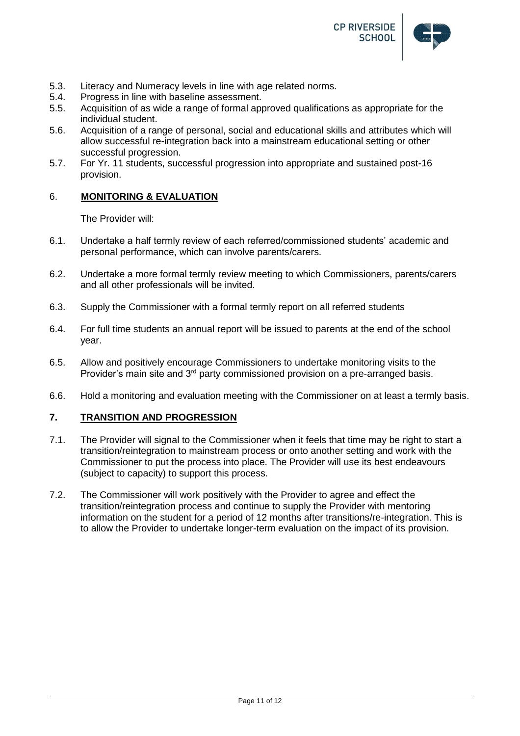

- 5.3. Literacy and Numeracy levels in line with age related norms.<br>5.4. Progress in line with baseline assessment.
- Progress in line with baseline assessment.
- 5.5. Acquisition of as wide a range of formal approved qualifications as appropriate for the individual student.
- 5.6. Acquisition of a range of personal, social and educational skills and attributes which will allow successful re-integration back into a mainstream educational setting or other successful progression.
- 5.7. For Yr. 11 students, successful progression into appropriate and sustained post-16 provision.

## 6. **MONITORING & EVALUATION**

The Provider will:

- 6.1. Undertake a half termly review of each referred/commissioned students' academic and personal performance, which can involve parents/carers.
- 6.2. Undertake a more formal termly review meeting to which Commissioners, parents/carers and all other professionals will be invited.
- 6.3. Supply the Commissioner with a formal termly report on all referred students
- 6.4. For full time students an annual report will be issued to parents at the end of the school year.
- 6.5. Allow and positively encourage Commissioners to undertake monitoring visits to the Provider's main site and 3<sup>rd</sup> party commissioned provision on a pre-arranged basis.
- 6.6. Hold a monitoring and evaluation meeting with the Commissioner on at least a termly basis.

# **7. TRANSITION AND PROGRESSION**

- 7.1. The Provider will signal to the Commissioner when it feels that time may be right to start a transition/reintegration to mainstream process or onto another setting and work with the Commissioner to put the process into place. The Provider will use its best endeavours (subject to capacity) to support this process.
- 7.2. The Commissioner will work positively with the Provider to agree and effect the transition/reintegration process and continue to supply the Provider with mentoring information on the student for a period of 12 months after transitions/re-integration. This is to allow the Provider to undertake longer-term evaluation on the impact of its provision.